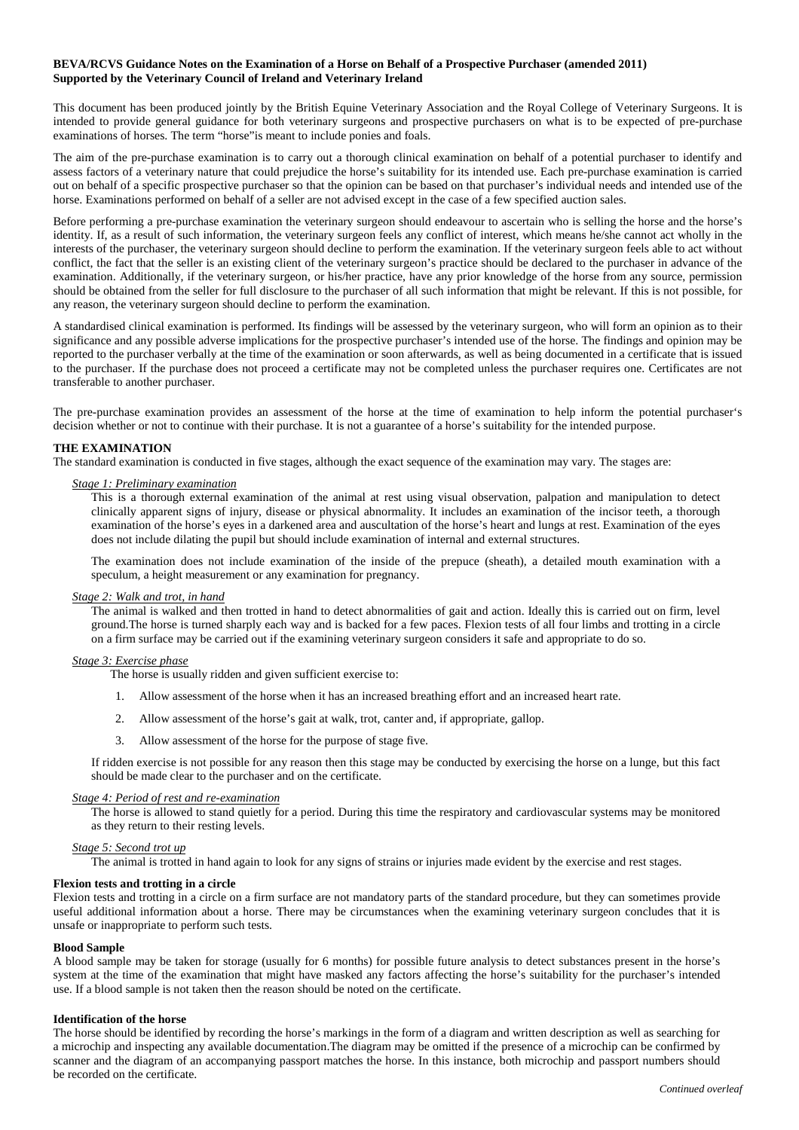# **BEVA/RCVS Guidance Notes on the Examination of a Horse on Behalf of a Prospective Purchaser (amended 2011) Supported by the Veterinary Council of Ireland and Veterinary Ireland**

This document has been produced jointly by the British Equine Veterinary Association and the Royal College of Veterinary Surgeons. It is intended to provide general guidance for both veterinary surgeons and prospective purchasers on what is to be expected of pre-purchase examinations of horses. The term "horse"is meant to include ponies and foals.

The aim of the pre-purchase examination is to carry out a thorough clinical examination on behalf of a potential purchaser to identify and assess factors of a veterinary nature that could prejudice the horse's suitability for its intended use. Each pre-purchase examination is carried out on behalf of a specific prospective purchaser so that the opinion can be based on that purchaser's individual needs and intended use of the horse. Examinations performed on behalf of a seller are not advised except in the case of a few specified auction sales.

Before performing a pre-purchase examination the veterinary surgeon should endeavour to ascertain who is selling the horse and the horse's identity. If, as a result of such information, the veterinary surgeon feels any conflict of interest, which means he/she cannot act wholly in the interests of the purchaser, the veterinary surgeon should decline to perform the examination. If the veterinary surgeon feels able to act without conflict, the fact that the seller is an existing client of the veterinary surgeon's practice should be declared to the purchaser in advance of the examination. Additionally, if the veterinary surgeon, or his/her practice, have any prior knowledge of the horse from any source, permission should be obtained from the seller for full disclosure to the purchaser of all such information that might be relevant. If this is not possible, for any reason, the veterinary surgeon should decline to perform the examination.

A standardised clinical examination is performed. Its findings will be assessed by the veterinary surgeon, who will form an opinion as to their significance and any possible adverse implications for the prospective purchaser's intended use of the horse. The findings and opinion may be reported to the purchaser verbally at the time of the examination or soon afterwards, as well as being documented in a certificate that is issued to the purchaser. If the purchase does not proceed a certificate may not be completed unless the purchaser requires one. Certificates are not transferable to another purchaser.

The pre-purchase examination provides an assessment of the horse at the time of examination to help inform the potential purchaser's decision whether or not to continue with their purchase. It is not a guarantee of a horse's suitability for the intended purpose.

## **THE EXAMINATION**

The standard examination is conducted in five stages, although the exact sequence of the examination may vary. The stages are:

## *Stage 1: Preliminary examination*

This is a thorough external examination of the animal at rest using visual observation, palpation and manipulation to detect clinically apparent signs of injury, disease or physical abnormality. It includes an examination of the incisor teeth, a thorough examination of the horse's eyes in a darkened area and auscultation of the horse's heart and lungs at rest. Examination of the eyes does not include dilating the pupil but should include examination of internal and external structures.

The examination does not include examination of the inside of the prepuce (sheath), a detailed mouth examination with a speculum, a height measurement or any examination for pregnancy.

## *Stage 2: Walk and trot, in hand*

The animal is walked and then trotted in hand to detect abnormalities of gait and action. Ideally this is carried out on firm, level ground.The horse is turned sharply each way and is backed for a few paces. Flexion tests of all four limbs and trotting in a circle on a firm surface may be carried out if the examining veterinary surgeon considers it safe and appropriate to do so.

## *Stage 3: Exercise phase*

The horse is usually ridden and given sufficient exercise to:

- 1. Allow assessment of the horse when it has an increased breathing effort and an increased heart rate.
- 2. Allow assessment of the horse's gait at walk, trot, canter and, if appropriate, gallop.
- 3. Allow assessment of the horse for the purpose of stage five.

If ridden exercise is not possible for any reason then this stage may be conducted by exercising the horse on a lunge, but this fact should be made clear to the purchaser and on the certificate.

# *Stage 4: Period of rest and re-examination*

The horse is allowed to stand quietly for a period. During this time the respiratory and cardiovascular systems may be monitored as they return to their resting levels.

# *Stage 5: Second trot up*

The animal is trotted in hand again to look for any signs of strains or injuries made evident by the exercise and rest stages.

## **Flexion tests and trotting in a circle**

Flexion tests and trotting in a circle on a firm surface are not mandatory parts of the standard procedure, but they can sometimes provide useful additional information about a horse. There may be circumstances when the examining veterinary surgeon concludes that it is unsafe or inappropriate to perform such tests.

## **Blood Sample**

A blood sample may be taken for storage (usually for 6 months) for possible future analysis to detect substances present in the horse's system at the time of the examination that might have masked any factors affecting the horse's suitability for the purchaser's intended use. If a blood sample is not taken then the reason should be noted on the certificate.

# **Identification of the horse**

The horse should be identified by recording the horse's markings in the form of a diagram and written description as well as searching for a microchip and inspecting any available documentation.The diagram may be omitted if the presence of a microchip can be confirmed by scanner and the diagram of an accompanying passport matches the horse. In this instance, both microchip and passport numbers should be recorded on the certificate.